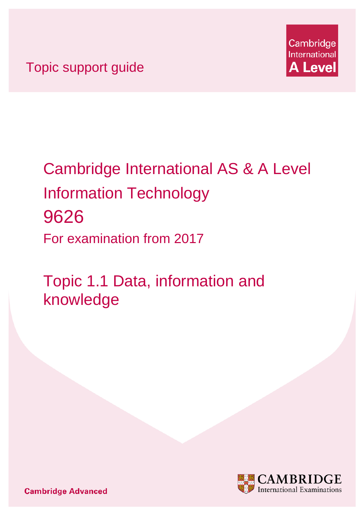Topic support guide



# Cambridge International AS & A Level Information Technology 9626 For examination from 2017

Topic 1.1 Data, information and knowledge



**Cambridge Advanced**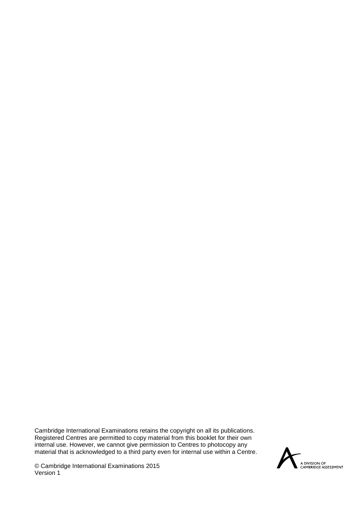Cambridge International Examinations retains the copyright on all its publications. Registered Centres are permitted to copy material from this booklet for their own internal use. However, we cannot give permission to Centres to photocopy any material that is acknowledged to a third party even for internal use within a Centre.



© Cambridge International Examinations 2015 Version 1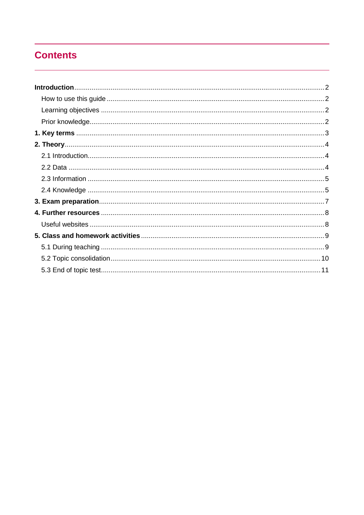# **Contents**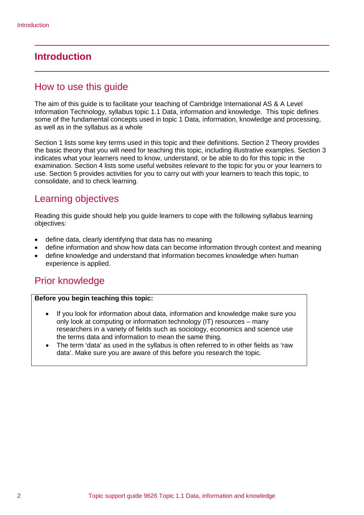# <span id="page-3-0"></span>**Introduction**

# <span id="page-3-1"></span>How to use this guide

The aim of this guide is to facilitate your teaching of Cambridge International AS & A Level Information Technology, syllabus topic 1.1 Data, information and knowledge. This topic defines some of the fundamental concepts used in topic 1 Data, information, knowledge and processing, as well as in the syllabus as a whole

Section 1 lists some key terms used in this topic and their definitions. Section 2 Theory provides the basic theory that you will need for teaching this topic, including illustrative examples. Section 3 indicates what your learners need to know, understand, or be able to do for this topic in the examination. Section 4 lists some useful websites relevant to the topic for you or your learners to use. Section 5 provides activities for you to carry out with your learners to teach this topic, to consolidate, and to check learning.

# <span id="page-3-2"></span>Learning objectives

Reading this guide should help you guide learners to cope with the following syllabus learning objectives:

- define data, clearly identifying that data has no meaning
- define information and show how data can become information through context and meaning
- define knowledge and understand that information becomes knowledge when human experience is applied.

# <span id="page-3-3"></span>Prior knowledge

#### **Before you begin teaching this topic:**

- If you look for information about data, information and knowledge make sure you only look at computing or information technology (IT) resources – many researchers in a variety of fields such as sociology, economics and science use the terms data and information to mean the same thing.
- The term 'data' as used in the syllabus is often referred to in other fields as 'raw data'. Make sure you are aware of this before you research the topic.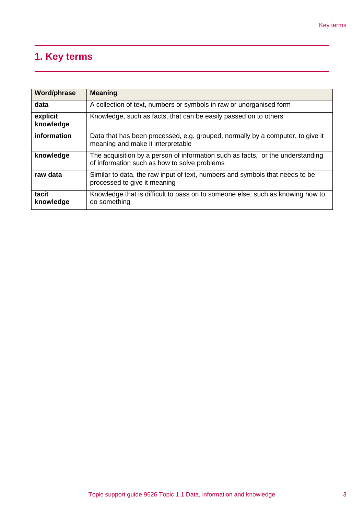# <span id="page-4-0"></span>**1. Key terms**

| <b>Word/phrase</b>    | <b>Meaning</b>                                                                                                                 |
|-----------------------|--------------------------------------------------------------------------------------------------------------------------------|
| data                  | A collection of text, numbers or symbols in raw or unorganised form                                                            |
| explicit<br>knowledge | Knowledge, such as facts, that can be easily passed on to others                                                               |
| information           | Data that has been processed, e.g. grouped, normally by a computer, to give it<br>meaning and make it interpretable            |
| knowledge             | The acquisition by a person of information such as facts, or the understanding<br>of information such as how to solve problems |
| raw data              | Similar to data, the raw input of text, numbers and symbols that needs to be<br>processed to give it meaning                   |
| tacit<br>knowledge    | Knowledge that is difficult to pass on to someone else, such as knowing how to<br>do something                                 |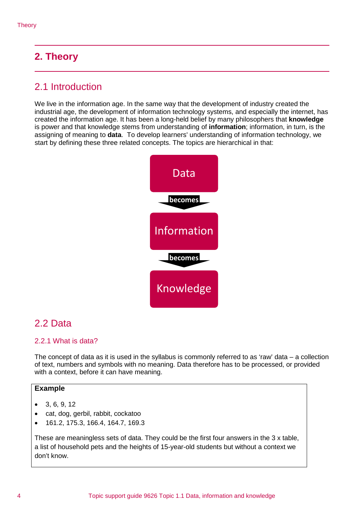# <span id="page-5-0"></span>**2. Theory**

# <span id="page-5-1"></span>2.1 Introduction

We live in the information age. In the same way that the development of industry created the industrial age, the development of information technology systems, and especially the internet, has created the information age. It has been a long-held belief by many philosophers that **knowledge** is power and that knowledge stems from understanding of **information**; information, in turn, is the assigning of meaning to **data**. To develop learners' understanding of information technology, we start by defining these three related concepts. The topics are hierarchical in that:



# <span id="page-5-2"></span>2.2 Data

#### 2.2.1 What is data?

The concept of data as it is used in the syllabus is commonly referred to as 'raw' data – a collection of text, numbers and symbols with no meaning. Data therefore has to be processed, or provided with a context, before it can have meaning.

#### **Example**

- 3, 6, 9, 12
- cat, dog, gerbil, rabbit, cockatoo
- 161.2, 175.3, 166.4, 164.7, 169.3

These are meaningless sets of data. They could be the first four answers in the 3 x table, a list of household pets and the heights of 15-year-old students but without a context we don't know.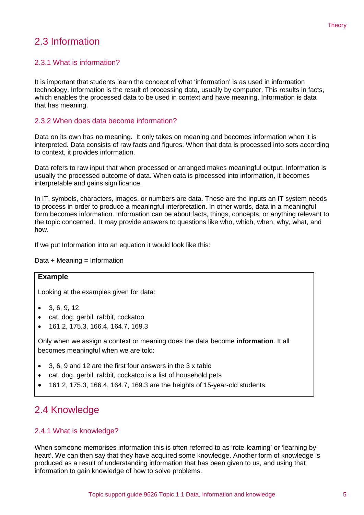# <span id="page-6-0"></span>2.3 Information

#### 2.3.1 What is information?

It is important that students learn the concept of what 'information' is as used in information technology. Information is the result of processing data, usually by computer. This results in facts, which enables the processed data to be used in context and have meaning. Information is data that has meaning.

#### 2.3.2 When does data become information?

Data on its own has no meaning. It only takes on meaning and becomes information when it is interpreted. Data consists of raw facts and figures. When that data is processed into sets according to context, it provides information.

Data refers to raw input that when processed or arranged makes meaningful output. Information is usually the processed outcome of data. When data is processed into information, it becomes interpretable and gains significance.

In IT, symbols, characters, images, or numbers are data. These are the inputs an IT system needs to process in order to produce a meaningful interpretation. In other words, data in a meaningful form becomes information. Information can be about facts, things, concepts, or anything relevant to the topic concerned. It may provide answers to questions like who, which, when, why, what, and how.

If we put Information into an equation it would look like this:

Data  $+$  Meaning  $=$  Information

#### **Example**

Looking at the examples given for data:

- 3, 6, 9, 12
- cat, dog, gerbil, rabbit, cockatoo
- 161.2, 175.3, 166.4, 164.7, 169.3

Only when we assign a context or meaning does the data become **information**. It all becomes meaningful when we are told:

- 3, 6, 9 and 12 are the first four answers in the 3 x table
- cat, dog, gerbil, rabbit, cockatoo is a list of household pets
- 161.2, 175.3, 166.4, 164.7, 169.3 are the heights of 15-year-old students.

# <span id="page-6-1"></span>2.4 Knowledge

#### 2.4.1 What is knowledge?

When someone memorises information this is often referred to as 'rote-learning' or 'learning by heart'. We can then say that they have acquired some knowledge. Another form of knowledge is produced as a result of understanding information that has been given to us, and using that information to gain knowledge of how to solve problems.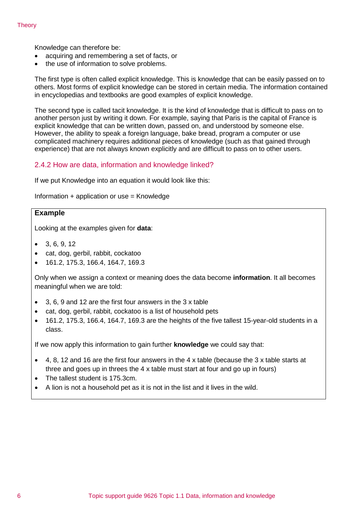Knowledge can therefore be:

- acquiring and remembering a set of facts, or
- the use of information to solve problems.

The first type is often called explicit knowledge. This is knowledge that can be easily passed on to others. Most forms of explicit knowledge can be stored in certain media. The information contained in encyclopedias and textbooks are good examples of explicit knowledge.

The second type is called tacit knowledge. It is the kind of knowledge that is difficult to pass on to another person just by writing it down. For example, saying that Paris is the capital of France is explicit knowledge that can be written down, passed on, and understood by someone else. However, the ability to speak a foreign language, bake bread, program a computer or use complicated machinery requires additional pieces of knowledge (such as that gained through experience) that are not always known explicitly and are difficult to pass on to other users.

#### 2.4.2 How are data, information and knowledge linked?

If we put Knowledge into an equation it would look like this:

Information + application or use = Knowledge

#### **Example**

Looking at the examples given for **data**:

- 3, 6, 9, 12
- cat, dog, gerbil, rabbit, cockatoo
- 161.2, 175.3, 166.4, 164.7, 169.3

Only when we assign a context or meaning does the data become **information**. It all becomes meaningful when we are told:

- 3, 6, 9 and 12 are the first four answers in the 3 x table
- cat, dog, gerbil, rabbit, cockatoo is a list of household pets
- 161.2, 175.3, 166.4, 164.7, 169.3 are the heights of the five tallest 15-year-old students in a class.

If we now apply this information to gain further **knowledge** we could say that:

- 4, 8, 12 and 16 are the first four answers in the 4 x table (because the 3 x table starts at three and goes up in threes the 4 x table must start at four and go up in fours)
- The tallest student is 175.3cm.
- A lion is not a household pet as it is not in the list and it lives in the wild.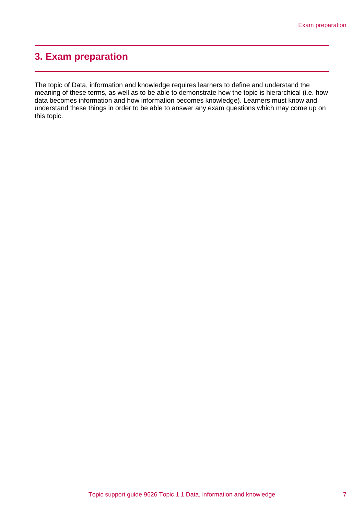# <span id="page-8-0"></span>**3. Exam preparation**

The topic of Data, information and knowledge requires learners to define and understand the meaning of these terms, as well as to be able to demonstrate how the topic is hierarchical (i.e. how data becomes information and how information becomes knowledge). Learners must know and understand these things in order to be able to answer any exam questions which may come up on this topic.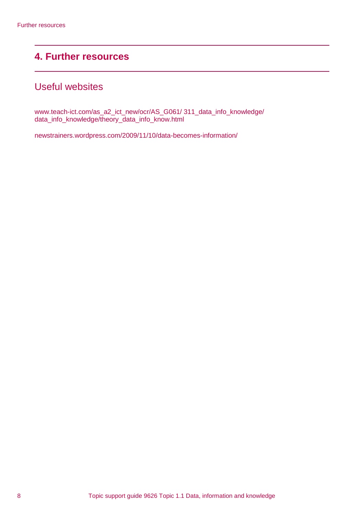# <span id="page-9-0"></span>**4. Further resources**

# <span id="page-9-1"></span>Useful websites

[www.teach-ict.com/as\\_a2\\_ict\\_new/ocr/AS\\_G061/ 311\\_data\\_info\\_knowledge/](http://www.teach-ict.com/as_a2_ict_new/ocr/AS_G061/%20311_data_info_knowledge/%20data_info_knowledge/theory_data_info_know.html)  [data\\_info\\_knowledge/theory\\_data\\_info\\_know.html](http://www.teach-ict.com/as_a2_ict_new/ocr/AS_G061/%20311_data_info_knowledge/%20data_info_knowledge/theory_data_info_know.html)

[newstrainers.wordpress.com/2009/11/10/data-becomes-information/](https://newstrainers.wordpress.com/2009/11/10/data-becomes-information/)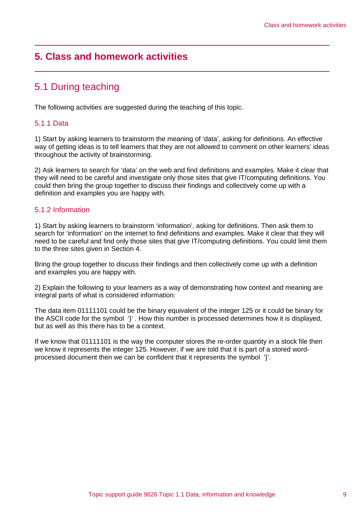# <span id="page-10-0"></span>**5. Class and homework activities**

# <span id="page-10-1"></span>5.1 During teaching

The following activities are suggested during the teaching of this topic.

#### 5.1.1 Data

1) Start by asking learners to brainstorm the meaning of 'data', asking for definitions. An effective way of getting ideas is to tell learners that they are not allowed to comment on other learners' ideas throughout the activity of brainstorming.

2) Ask learners to search for 'data' on the web and find definitions and examples. Make it clear that they will need to be careful and investigate only those sites that give IT/computing definitions. You could then bring the group together to discuss their findings and collectively come up with a definition and examples you are happy with.

#### 5.1.2 Information

1) Start by asking learners to brainstorm 'information', asking for definitions. Then ask them to search for 'information' on the internet to find definitions and examples. Make it clear that they will need to be careful and find only those sites that give IT/computing definitions. You could limit them to the three sites given in Section 4.

Bring the group together to discuss their findings and then collectively come up with a definition and examples you are happy with.

2) Explain the following to your learners as a way of demonstrating how context and meaning are integral parts of what is considered information:

The data item 01111101 could be the binary equivalent of the integer 125 or it could be binary for the ASCII code for the symbol '}' . How this number is processed determines how it is displayed, but as well as this there has to be a context.

If we know that 01111101 is the way the computer stores the re-order quantity in a stock file then we know it represents the integer 125. However, if we are told that it is part of a stored wordprocessed document then we can be confident that it represents the symbol '}'.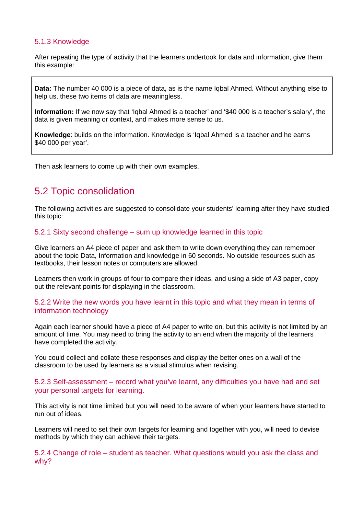#### 5.1.3 Knowledge

After repeating the type of activity that the learners undertook for data and information, give them this example:

**Data:** The number 40 000 is a piece of data, as is the name Iqbal Ahmed. Without anything else to help us, these two items of data are meaningless.

**Information:** If we now say that 'Iqbal Ahmed is a teacher' and '\$40 000 is a teacher's salary', the data is given meaning or context, and makes more sense to us.

**Knowledge**: builds on the information. Knowledge is 'Iqbal Ahmed is a teacher and he earns \$40 000 per year'.

Then ask learners to come up with their own examples.

# <span id="page-11-0"></span>5.2 Topic consolidation

The following activities are suggested to consolidate your students' learning after they have studied this topic:

#### 5.2.1 Sixty second challenge – sum up knowledge learned in this topic

Give learners an A4 piece of paper and ask them to write down everything they can remember about the topic Data, Information and knowledge in 60 seconds. No outside resources such as textbooks, their lesson notes or computers are allowed.

Learners then work in groups of four to compare their ideas, and using a side of A3 paper, copy out the relevant points for displaying in the classroom.

#### 5.2.2 Write the new words you have learnt in this topic and what they mean in terms of information technology

Again each learner should have a piece of A4 paper to write on, but this activity is not limited by an amount of time. You may need to bring the activity to an end when the majority of the learners have completed the activity.

You could collect and collate these responses and display the better ones on a wall of the classroom to be used by learners as a visual stimulus when revising.

#### 5.2.3 Self-assessment – record what you've learnt, any difficulties you have had and set your personal targets for learning.

This activity is not time limited but you will need to be aware of when your learners have started to run out of ideas.

Learners will need to set their own targets for learning and together with you, will need to devise methods by which they can achieve their targets.

5.2.4 Change of role – student as teacher. What questions would you ask the class and why?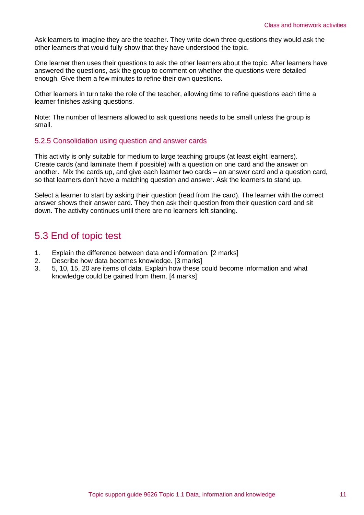Ask learners to imagine they are the teacher. They write down three questions they would ask the other learners that would fully show that they have understood the topic.

One learner then uses their questions to ask the other learners about the topic. After learners have answered the questions, ask the group to comment on whether the questions were detailed enough. Give them a few minutes to refine their own questions.

Other learners in turn take the role of the teacher, allowing time to refine questions each time a learner finishes asking questions.

Note: The number of learners allowed to ask questions needs to be small unless the group is small.

#### 5.2.5 Consolidation using question and answer cards

This activity is only suitable for medium to large teaching groups (at least eight learners). Create cards (and laminate them if possible) with a question on one card and the answer on another. Mix the cards up, and give each learner two cards – an answer card and a question card, so that learners don't have a matching question and answer. Ask the learners to stand up.

Select a learner to start by asking their question (read from the card). The learner with the correct answer shows their answer card. They then ask their question from their question card and sit down. The activity continues until there are no learners left standing.

### <span id="page-12-0"></span>5.3 End of topic test

- 1. Explain the difference between data and information. [2 marks]
- 2. Describe how data becomes knowledge. [3 marks]
- 3. 5, 10, 15, 20 are items of data. Explain how these could become information and what knowledge could be gained from them. [4 marks]